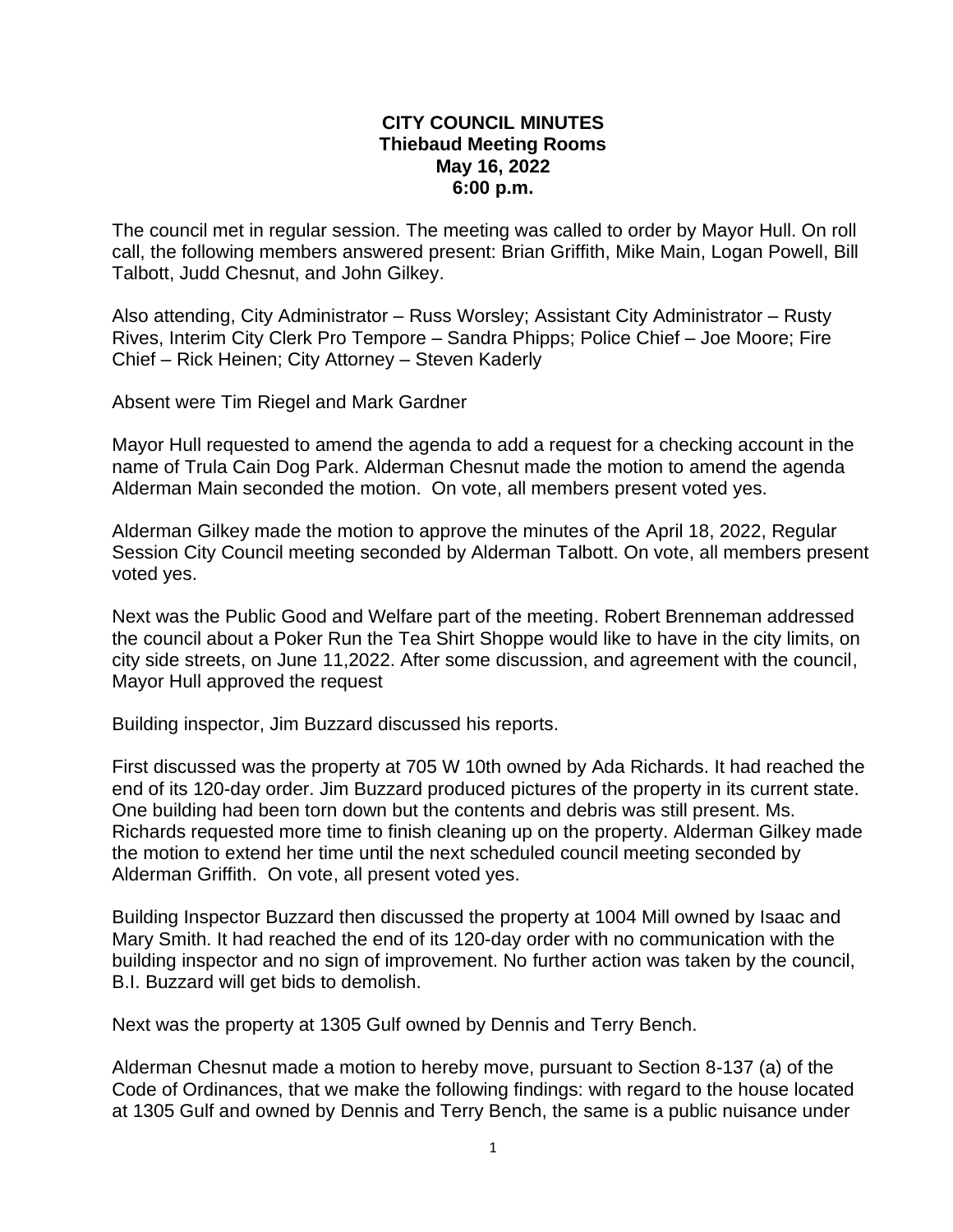## **CITY COUNCIL MINUTES Thiebaud Meeting Rooms May 16, 2022 6:00 p.m.**

The council met in regular session. The meeting was called to order by Mayor Hull. On roll call, the following members answered present: Brian Griffith, Mike Main, Logan Powell, Bill Talbott, Judd Chesnut, and John Gilkey.

Also attending, City Administrator – Russ Worsley; Assistant City Administrator – Rusty Rives, Interim City Clerk Pro Tempore – Sandra Phipps; Police Chief – Joe Moore; Fire Chief – Rick Heinen; City Attorney – Steven Kaderly

Absent were Tim Riegel and Mark Gardner

Mayor Hull requested to amend the agenda to add a request for a checking account in the name of Trula Cain Dog Park. Alderman Chesnut made the motion to amend the agenda Alderman Main seconded the motion. On vote, all members present voted yes.

Alderman Gilkey made the motion to approve the minutes of the April 18, 2022, Regular Session City Council meeting seconded by Alderman Talbott. On vote, all members present voted yes.

Next was the Public Good and Welfare part of the meeting. Robert Brenneman addressed the council about a Poker Run the Tea Shirt Shoppe would like to have in the city limits, on city side streets, on June 11,2022. After some discussion, and agreement with the council, Mayor Hull approved the request

Building inspector, Jim Buzzard discussed his reports.

First discussed was the property at 705 W 10th owned by Ada Richards. It had reached the end of its 120-day order. Jim Buzzard produced pictures of the property in its current state. One building had been torn down but the contents and debris was still present. Ms. Richards requested more time to finish cleaning up on the property. Alderman Gilkey made the motion to extend her time until the next scheduled council meeting seconded by Alderman Griffith. On vote, all present voted yes.

Building Inspector Buzzard then discussed the property at 1004 Mill owned by Isaac and Mary Smith. It had reached the end of its 120-day order with no communication with the building inspector and no sign of improvement. No further action was taken by the council, B.I. Buzzard will get bids to demolish.

Next was the property at 1305 Gulf owned by Dennis and Terry Bench.

Alderman Chesnut made a motion to hereby move, pursuant to Section 8-137 (a) of the Code of Ordinances, that we make the following findings: with regard to the house located at 1305 Gulf and owned by Dennis and Terry Bench, the same is a public nuisance under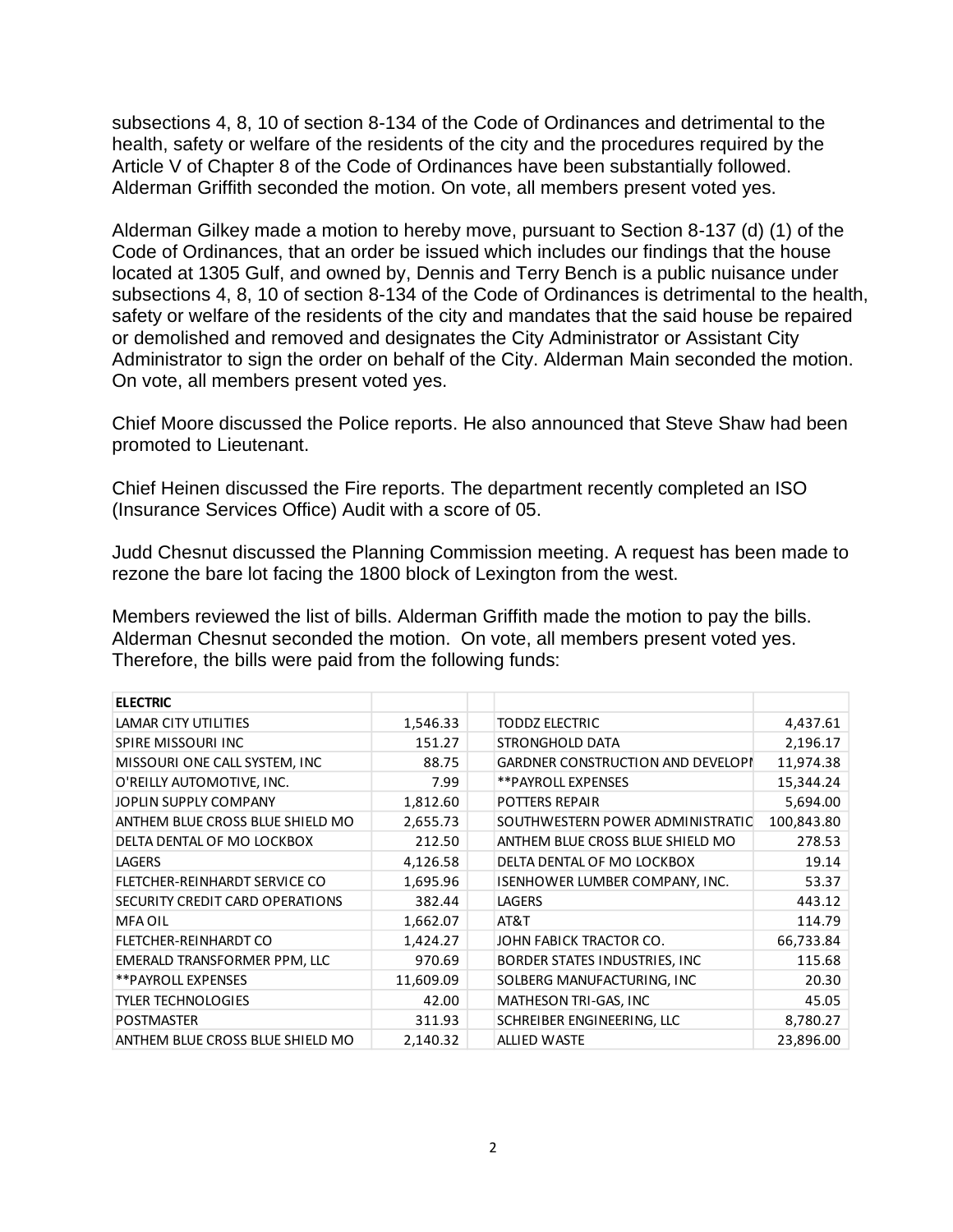subsections 4, 8, 10 of section 8-134 of the Code of Ordinances and detrimental to the health, safety or welfare of the residents of the city and the procedures required by the Article V of Chapter 8 of the Code of Ordinances have been substantially followed. Alderman Griffith seconded the motion. On vote, all members present voted yes.

Alderman Gilkey made a motion to hereby move, pursuant to Section 8-137 (d) (1) of the Code of Ordinances, that an order be issued which includes our findings that the house located at 1305 Gulf, and owned by, Dennis and Terry Bench is a public nuisance under subsections 4, 8, 10 of section 8-134 of the Code of Ordinances is detrimental to the health, safety or welfare of the residents of the city and mandates that the said house be repaired or demolished and removed and designates the City Administrator or Assistant City Administrator to sign the order on behalf of the City. Alderman Main seconded the motion. On vote, all members present voted yes.

Chief Moore discussed the Police reports. He also announced that Steve Shaw had been promoted to Lieutenant.

Chief Heinen discussed the Fire reports. The department recently completed an ISO (Insurance Services Office) Audit with a score of 05.

Judd Chesnut discussed the Planning Commission meeting. A request has been made to rezone the bare lot facing the 1800 block of Lexington from the west.

Members reviewed the list of bills. Alderman Griffith made the motion to pay the bills. Alderman Chesnut seconded the motion. On vote, all members present voted yes. Therefore, the bills were paid from the following funds:

| <b>ELECTRIC</b>                  |           |                                          |            |
|----------------------------------|-----------|------------------------------------------|------------|
| LAMAR CITY UTILITIES             | 1,546.33  | <b>TODDZ ELECTRIC</b>                    | 4,437.61   |
| <b>SPIRE MISSOURI INC</b>        | 151.27    | STRONGHOLD DATA                          | 2,196.17   |
| MISSOURI ONE CALL SYSTEM, INC    | 88.75     | <b>GARDNER CONSTRUCTION AND DEVELOPI</b> | 11,974.38  |
| O'REILLY AUTOMOTIVE, INC.        | 7.99      | **PAYROLL EXPENSES                       | 15,344.24  |
| JOPLIN SUPPLY COMPANY            | 1,812.60  | <b>POTTERS REPAIR</b>                    | 5,694.00   |
| ANTHEM BLUE CROSS BLUE SHIELD MO | 2,655.73  | SOUTHWESTERN POWER ADMINISTRATIC         | 100,843.80 |
| DELTA DENTAL OF MO LOCKBOX       | 212.50    | ANTHEM BLUE CROSS BLUE SHIELD MO         | 278.53     |
| LAGERS                           | 4,126.58  | DELTA DENTAL OF MO LOCKBOX               | 19.14      |
| FLETCHER-REINHARDT SERVICE CO    | 1,695.96  | ISENHOWER LUMBER COMPANY, INC.           | 53.37      |
| SECURITY CREDIT CARD OPERATIONS  | 382.44    | <b>LAGERS</b>                            | 443.12     |
| <b>MFA OIL</b>                   | 1,662.07  | AT&T                                     | 114.79     |
| FLETCHER-REINHARDT CO            | 1,424.27  | JOHN FABICK TRACTOR CO.                  | 66,733.84  |
| EMERALD TRANSFORMER PPM, LLC     | 970.69    | BORDER STATES INDUSTRIES, INC.           | 115.68     |
| **PAYROLL EXPENSES               | 11,609.09 | SOLBERG MANUFACTURING, INC               | 20.30      |
| <b>TYLER TECHNOLOGIES</b>        | 42.00     | MATHESON TRI-GAS, INC                    | 45.05      |
| <b>POSTMASTER</b>                | 311.93    | SCHREIBER ENGINEERING, LLC               | 8,780.27   |
| ANTHEM BLUE CROSS BLUE SHIELD MO | 2,140.32  | <b>ALLIED WASTE</b>                      | 23,896.00  |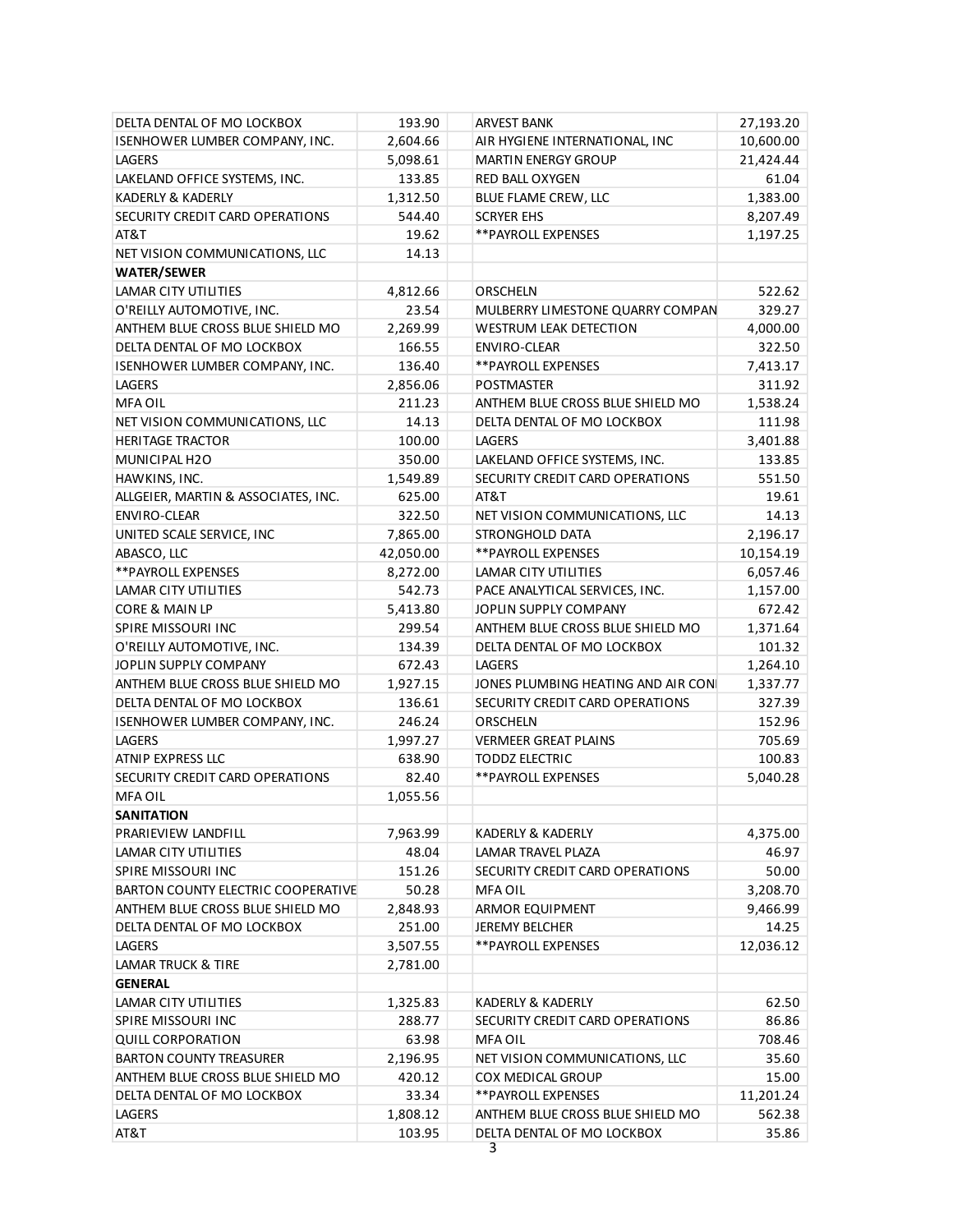| DELTA DENTAL OF MO LOCKBOX            | 193.90    | <b>ARVEST BANK</b>                 | 27,193.20 |  |  |
|---------------------------------------|-----------|------------------------------------|-----------|--|--|
| <b>ISENHOWER LUMBER COMPANY, INC.</b> | 2,604.66  | AIR HYGIENE INTERNATIONAL, INC     | 10,600.00 |  |  |
| <b>LAGERS</b>                         | 5,098.61  | <b>MARTIN ENERGY GROUP</b>         | 21,424.44 |  |  |
| LAKELAND OFFICE SYSTEMS, INC.         | 133.85    | RED BALL OXYGEN                    | 61.04     |  |  |
| KADERLY & KADERLY                     | 1,312.50  | BLUE FLAME CREW, LLC               | 1,383.00  |  |  |
| SECURITY CREDIT CARD OPERATIONS       | 544.40    | <b>SCRYER EHS</b>                  | 8,207.49  |  |  |
| AT&T                                  | 19.62     | ** PAYROLL EXPENSES                | 1,197.25  |  |  |
| NET VISION COMMUNICATIONS, LLC        | 14.13     |                                    |           |  |  |
| <b>WATER/SEWER</b>                    |           |                                    |           |  |  |
| LAMAR CITY UTILITIES                  | 4,812.66  | ORSCHELN                           | 522.62    |  |  |
| O'REILLY AUTOMOTIVE, INC.             | 23.54     | MULBERRY LIMESTONE QUARRY COMPAN   | 329.27    |  |  |
| ANTHEM BLUE CROSS BLUE SHIELD MO      | 2,269.99  | <b>WESTRUM LEAK DETECTION</b>      | 4,000.00  |  |  |
| DELTA DENTAL OF MO LOCKBOX            | 166.55    | <b>ENVIRO-CLEAR</b>                | 322.50    |  |  |
| <b>ISENHOWER LUMBER COMPANY, INC.</b> | 136.40    | ** PAYROLL EXPENSES                | 7,413.17  |  |  |
| <b>LAGERS</b>                         | 2,856.06  | <b>POSTMASTER</b>                  | 311.92    |  |  |
| <b>MFA OIL</b>                        | 211.23    | ANTHEM BLUE CROSS BLUE SHIELD MO   | 1,538.24  |  |  |
| NET VISION COMMUNICATIONS, LLC        | 14.13     | DELTA DENTAL OF MO LOCKBOX         | 111.98    |  |  |
| <b>HERITAGE TRACTOR</b>               | 100.00    | LAGERS                             | 3,401.88  |  |  |
| MUNICIPAL H2O                         | 350.00    | LAKELAND OFFICE SYSTEMS, INC.      | 133.85    |  |  |
| HAWKINS, INC.                         | 1,549.89  | SECURITY CREDIT CARD OPERATIONS    | 551.50    |  |  |
| ALLGEIER, MARTIN & ASSOCIATES, INC.   | 625.00    | AT&T                               | 19.61     |  |  |
| <b>ENVIRO-CLEAR</b>                   | 322.50    | NET VISION COMMUNICATIONS, LLC     | 14.13     |  |  |
| UNITED SCALE SERVICE, INC             | 7,865.00  | STRONGHOLD DATA                    | 2,196.17  |  |  |
| ABASCO, LLC                           | 42,050.00 | ** PAYROLL EXPENSES                | 10,154.19 |  |  |
| ** PAYROLL EXPENSES                   | 8,272.00  | LAMAR CITY UTILITIES               | 6,057.46  |  |  |
| LAMAR CITY UTILITIES                  | 542.73    | PACE ANALYTICAL SERVICES, INC.     | 1,157.00  |  |  |
| CORE & MAIN LP                        | 5,413.80  | JOPLIN SUPPLY COMPANY              | 672.42    |  |  |
| SPIRE MISSOURI INC                    | 299.54    | ANTHEM BLUE CROSS BLUE SHIELD MO   | 1,371.64  |  |  |
| O'REILLY AUTOMOTIVE, INC.             | 134.39    | DELTA DENTAL OF MO LOCKBOX         | 101.32    |  |  |
| JOPLIN SUPPLY COMPANY                 | 672.43    | LAGERS                             | 1,264.10  |  |  |
| ANTHEM BLUE CROSS BLUE SHIELD MO      | 1,927.15  | JONES PLUMBING HEATING AND AIR CON | 1,337.77  |  |  |
| DELTA DENTAL OF MO LOCKBOX            | 136.61    | SECURITY CREDIT CARD OPERATIONS    | 327.39    |  |  |
| ISENHOWER LUMBER COMPANY, INC.        | 246.24    | ORSCHELN                           | 152.96    |  |  |
| LAGERS                                | 1,997.27  | <b>VERMEER GREAT PLAINS</b>        | 705.69    |  |  |
| <b>ATNIP EXPRESS LLC</b>              | 638.90    | <b>TODDZ ELECTRIC</b>              | 100.83    |  |  |
| SECURITY CREDIT CARD OPERATIONS       | 82.40     | ** PAYROLL EXPENSES                | 5,040.28  |  |  |
| <b>MFA OIL</b>                        | 1,055.56  |                                    |           |  |  |
| SANITATION                            |           |                                    |           |  |  |
| PRARIEVIEW LANDFILL                   | 7,963.99  | KADERLY & KADERLY                  | 4,375.00  |  |  |
| LAMAR CITY UTILITIES                  | 48.04     | LAMAR TRAVEL PLAZA                 | 46.97     |  |  |
| <b>SPIRE MISSOURI INC</b>             | 151.26    | SECURITY CREDIT CARD OPERATIONS    | 50.00     |  |  |
| BARTON COUNTY ELECTRIC COOPERATIVE    | 50.28     | <b>MFA OIL</b>                     | 3,208.70  |  |  |
| ANTHEM BLUE CROSS BLUE SHIELD MO      | 2,848.93  | ARMOR EQUIPMENT                    | 9,466.99  |  |  |
| DELTA DENTAL OF MO LOCKBOX            | 251.00    | JEREMY BELCHER                     | 14.25     |  |  |
| <b>LAGERS</b>                         | 3,507.55  | **PAYROLL EXPENSES                 | 12,036.12 |  |  |
| LAMAR TRUCK & TIRE                    | 2,781.00  |                                    |           |  |  |
| <b>GENERAL</b>                        |           |                                    |           |  |  |
| LAMAR CITY UTILITIES                  | 1,325.83  | KADERLY & KADERLY                  | 62.50     |  |  |
| SPIRE MISSOURI INC                    | 288.77    | SECURITY CREDIT CARD OPERATIONS    | 86.86     |  |  |
| <b>QUILL CORPORATION</b>              | 63.98     | <b>MFA OIL</b>                     | 708.46    |  |  |
| <b>BARTON COUNTY TREASURER</b>        | 2,196.95  | NET VISION COMMUNICATIONS, LLC     | 35.60     |  |  |
| ANTHEM BLUE CROSS BLUE SHIELD MO      | 420.12    | COX MEDICAL GROUP                  | 15.00     |  |  |
| DELTA DENTAL OF MO LOCKBOX            | 33.34     | **PAYROLL EXPENSES                 | 11,201.24 |  |  |
| LAGERS                                | 1,808.12  | ANTHEM BLUE CROSS BLUE SHIELD MO   | 562.38    |  |  |
| AT&T                                  | 103.95    | DELTA DENTAL OF MO LOCKBOX         | 35.86     |  |  |
| 3                                     |           |                                    |           |  |  |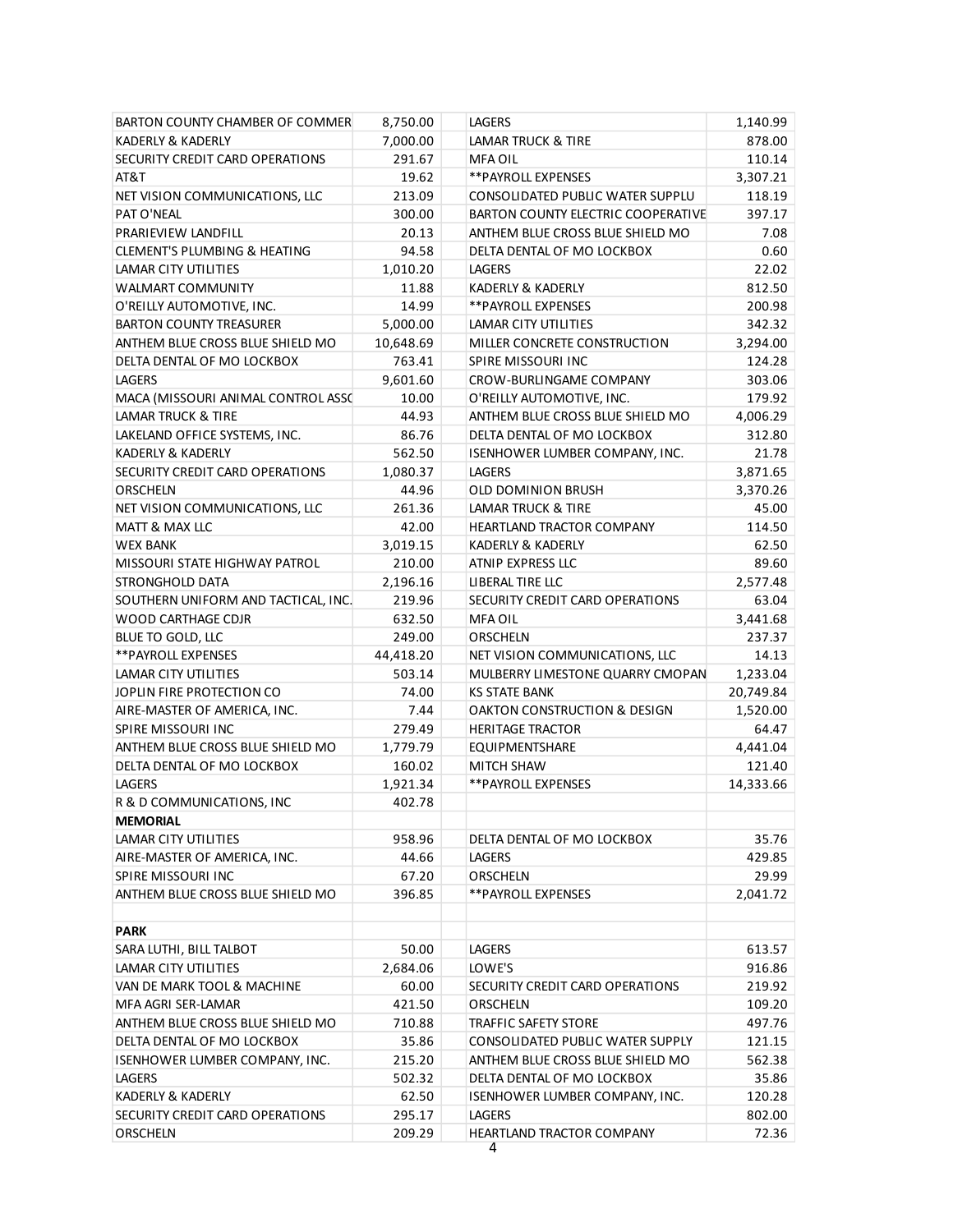| BARTON COUNTY CHAMBER OF COMMER     | 8,750.00  | <b>LAGERS</b>                      | 1,140.99  |
|-------------------------------------|-----------|------------------------------------|-----------|
| KADERLY & KADERLY                   | 7,000.00  | LAMAR TRUCK & TIRE                 | 878.00    |
| SECURITY CREDIT CARD OPERATIONS     | 291.67    | <b>MFA OIL</b>                     | 110.14    |
| AT&T                                | 19.62     | ** PAYROLL EXPENSES                | 3,307.21  |
| NET VISION COMMUNICATIONS, LLC      | 213.09    | CONSOLIDATED PUBLIC WATER SUPPLU   | 118.19    |
| PAT O'NEAL                          | 300.00    | BARTON COUNTY ELECTRIC COOPERATIVE | 397.17    |
| PRARIEVIEW LANDFILL                 | 20.13     | ANTHEM BLUE CROSS BLUE SHIELD MO   | 7.08      |
| CLEMENT'S PLUMBING & HEATING        | 94.58     | DELTA DENTAL OF MO LOCKBOX         | 0.60      |
| LAMAR CITY UTILITIES                | 1,010.20  | LAGERS                             | 22.02     |
| WALMART COMMUNITY                   | 11.88     | KADERLY & KADERLY                  | 812.50    |
| O'REILLY AUTOMOTIVE, INC.           | 14.99     | ** PAYROLL EXPENSES                | 200.98    |
| <b>BARTON COUNTY TREASURER</b>      | 5,000.00  | LAMAR CITY UTILITIES               | 342.32    |
| ANTHEM BLUE CROSS BLUE SHIELD MO    | 10,648.69 | MILLER CONCRETE CONSTRUCTION       | 3,294.00  |
| DELTA DENTAL OF MO LOCKBOX          | 763.41    | SPIRE MISSOURI INC                 | 124.28    |
| <b>LAGERS</b>                       | 9,601.60  | CROW-BURLINGAME COMPANY            | 303.06    |
| MACA (MISSOURI ANIMAL CONTROL ASSC  | 10.00     | O'REILLY AUTOMOTIVE, INC.          | 179.92    |
| <b>LAMAR TRUCK &amp; TIRE</b>       | 44.93     | ANTHEM BLUE CROSS BLUE SHIELD MO   | 4,006.29  |
| LAKELAND OFFICE SYSTEMS, INC.       | 86.76     | DELTA DENTAL OF MO LOCKBOX         | 312.80    |
| <b>KADERLY &amp; KADERLY</b>        | 562.50    | ISENHOWER LUMBER COMPANY, INC.     | 21.78     |
| SECURITY CREDIT CARD OPERATIONS     | 1,080.37  | <b>LAGERS</b>                      | 3,871.65  |
| ORSCHELN                            | 44.96     | OLD DOMINION BRUSH                 | 3,370.26  |
| NET VISION COMMUNICATIONS, LLC      | 261.36    | LAMAR TRUCK & TIRE                 | 45.00     |
| MATT & MAX LLC                      | 42.00     | <b>HEARTLAND TRACTOR COMPANY</b>   | 114.50    |
| <b>WEX BANK</b>                     | 3,019.15  | KADERLY & KADERLY                  | 62.50     |
| MISSOURI STATE HIGHWAY PATROL       | 210.00    | ATNIP EXPRESS LLC                  | 89.60     |
| STRONGHOLD DATA                     | 2,196.16  | LIBERAL TIRE LLC                   | 2,577.48  |
| SOUTHERN UNIFORM AND TACTICAL, INC. | 219.96    | SECURITY CREDIT CARD OPERATIONS    | 63.04     |
| WOOD CARTHAGE CDJR                  | 632.50    | <b>MFA OIL</b>                     | 3,441.68  |
| BLUE TO GOLD, LLC                   | 249.00    | ORSCHELN                           | 237.37    |
| ** PAYROLL EXPENSES                 | 44,418.20 | NET VISION COMMUNICATIONS, LLC     | 14.13     |
| LAMAR CITY UTILITIES                | 503.14    | MULBERRY LIMESTONE QUARRY CMOPAN   | 1,233.04  |
| JOPLIN FIRE PROTECTION CO           | 74.00     | <b>KS STATE BANK</b>               | 20,749.84 |
| AIRE-MASTER OF AMERICA, INC.        | 7.44      | OAKTON CONSTRUCTION & DESIGN       | 1,520.00  |
| <b>SPIRE MISSOURI INC</b>           | 279.49    | <b>HERITAGE TRACTOR</b>            | 64.47     |
| ANTHEM BLUE CROSS BLUE SHIELD MO    | 1,779.79  | <b>EQUIPMENTSHARE</b>              | 4,441.04  |
| DELTA DENTAL OF MO LOCKBOX          | 160.02    | <b>MITCH SHAW</b>                  | 121.40    |
| LAGERS                              | 1,921.34  | **PAYROLL EXPENSES                 | 14,333.66 |
| R & D COMMUNICATIONS, INC           | 402.78    |                                    |           |
| <b>MEMORIAL</b>                     |           |                                    |           |
| <b>LAMAR CITY UTILITIES</b>         | 958.96    | DELTA DENTAL OF MO LOCKBOX         | 35.76     |
| AIRE-MASTER OF AMERICA, INC.        | 44.66     | LAGERS                             | 429.85    |
| SPIRE MISSOURI INC                  | 67.20     | ORSCHELN                           | 29.99     |
| ANTHEM BLUE CROSS BLUE SHIELD MO    | 396.85    | ** PAYROLL EXPENSES                | 2,041.72  |
|                                     |           |                                    |           |
| <b>PARK</b>                         |           |                                    |           |
| SARA LUTHI, BILL TALBOT             | 50.00     | LAGERS                             | 613.57    |
| LAMAR CITY UTILITIES                | 2,684.06  | LOWE'S                             | 916.86    |
| VAN DE MARK TOOL & MACHINE          | 60.00     | SECURITY CREDIT CARD OPERATIONS    | 219.92    |
| MFA AGRI SER-LAMAR                  | 421.50    | <b>ORSCHELN</b>                    | 109.20    |
| ANTHEM BLUE CROSS BLUE SHIELD MO    | 710.88    | TRAFFIC SAFETY STORE               | 497.76    |
| DELTA DENTAL OF MO LOCKBOX          | 35.86     | CONSOLIDATED PUBLIC WATER SUPPLY   | 121.15    |
| ISENHOWER LUMBER COMPANY, INC.      | 215.20    | ANTHEM BLUE CROSS BLUE SHIELD MO   | 562.38    |
| LAGERS                              | 502.32    | DELTA DENTAL OF MO LOCKBOX         | 35.86     |
| KADERLY & KADERLY                   | 62.50     | ISENHOWER LUMBER COMPANY, INC.     | 120.28    |
| SECURITY CREDIT CARD OPERATIONS     | 295.17    | LAGERS                             | 802.00    |
| ORSCHELN                            | 209.29    | HEARTLAND TRACTOR COMPANY          | 72.36     |
|                                     |           | 4                                  |           |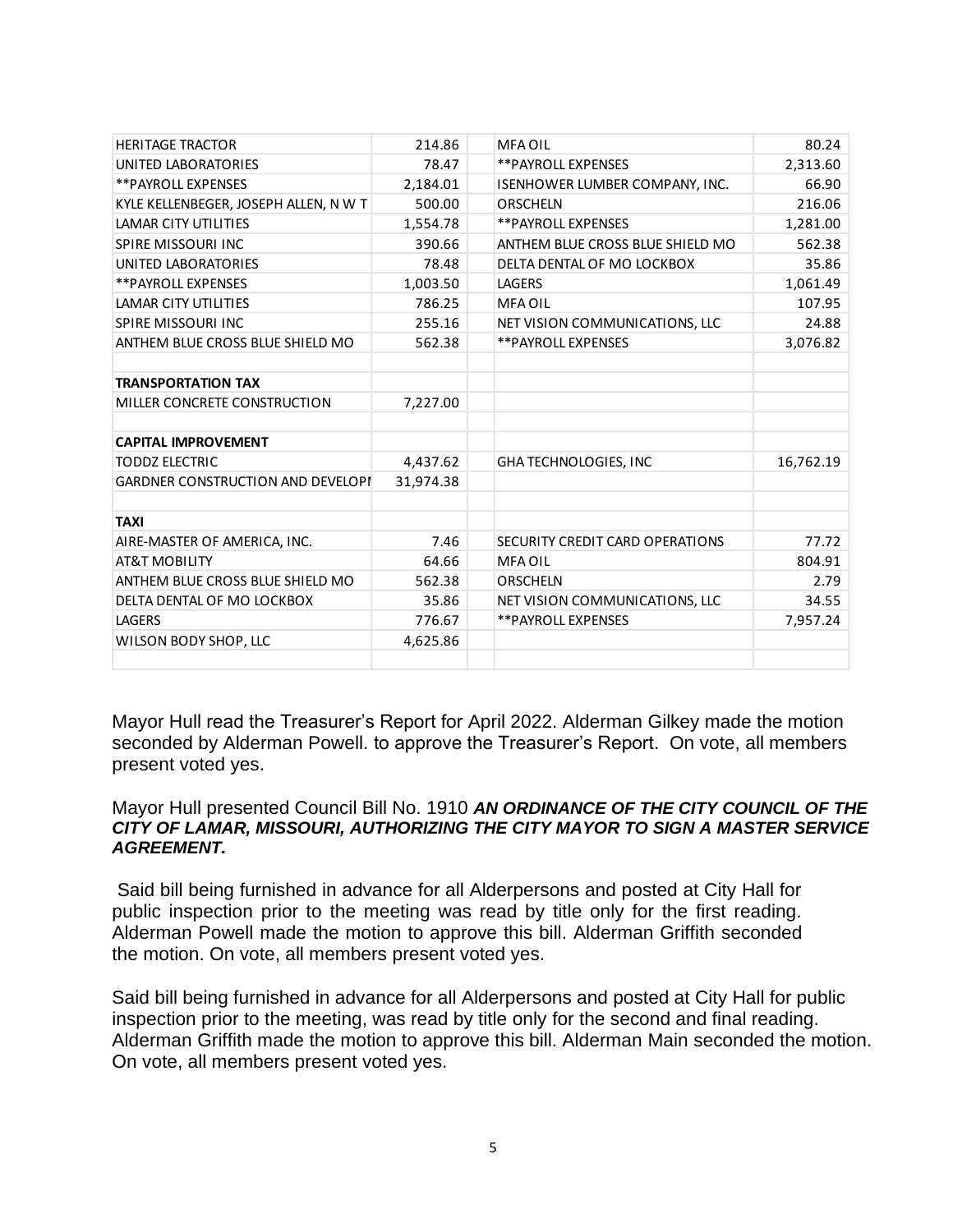| <b>HERITAGE TRACTOR</b>                  | 214.86    | <b>MFA OIL</b>                   | 80.24     |
|------------------------------------------|-----------|----------------------------------|-----------|
| UNITED LABORATORIES                      | 78.47     | **PAYROLL EXPENSES               | 2,313.60  |
| <b>**PAYROLL EXPENSES</b>                | 2,184.01  | ISENHOWER LUMBER COMPANY, INC.   | 66.90     |
| KYLE KELLENBEGER, JOSEPH ALLEN, N W T    | 500.00    | <b>ORSCHELN</b>                  | 216.06    |
| LAMAR CITY UTILITIES                     | 1,554.78  | **PAYROLL EXPENSES               | 1,281.00  |
| <b>SPIRE MISSOURI INC</b>                | 390.66    | ANTHEM BLUE CROSS BLUE SHIELD MO | 562.38    |
| UNITED LABORATORIES                      | 78.48     | DELTA DENTAL OF MO LOCKBOX       | 35.86     |
| <b>**PAYROLL EXPENSES</b>                | 1,003.50  | <b>LAGERS</b>                    | 1,061.49  |
| LAMAR CITY UTILITIES                     | 786.25    | <b>MFA OIL</b>                   | 107.95    |
| <b>SPIRE MISSOURI INC</b>                | 255.16    | NET VISION COMMUNICATIONS, LLC   | 24.88     |
| ANTHEM BLUE CROSS BLUE SHIELD MO         | 562.38    | **PAYROLL EXPENSES               | 3,076.82  |
|                                          |           |                                  |           |
| <b>TRANSPORTATION TAX</b>                |           |                                  |           |
| MILLER CONCRETE CONSTRUCTION             | 7,227.00  |                                  |           |
|                                          |           |                                  |           |
| <b>CAPITAL IMPROVEMENT</b>               |           |                                  |           |
| <b>TODDZ ELECTRIC</b>                    | 4,437.62  | <b>GHA TECHNOLOGIES, INC</b>     | 16,762.19 |
| <b>GARDNER CONSTRUCTION AND DEVELOPI</b> | 31,974.38 |                                  |           |
|                                          |           |                                  |           |
| <b>TAXI</b>                              |           |                                  |           |
| AIRE-MASTER OF AMERICA, INC.             | 7.46      | SECURITY CREDIT CARD OPERATIONS  | 77.72     |
| <b>AT&amp;T MOBILITY</b>                 | 64.66     | <b>MFA OIL</b>                   | 804.91    |
| ANTHEM BLUE CROSS BLUE SHIELD MO         | 562.38    | <b>ORSCHELN</b>                  | 2.79      |
| DELTA DENTAL OF MO LOCKBOX               | 35.86     | NET VISION COMMUNICATIONS, LLC   | 34.55     |
| LAGERS                                   | 776.67    | <b>**PAYROLL EXPENSES</b>        | 7,957.24  |
| WILSON BODY SHOP, LLC                    | 4,625.86  |                                  |           |
|                                          |           |                                  |           |
|                                          |           |                                  |           |

Mayor Hull read the Treasurer's Report for April 2022. Alderman Gilkey made the motion seconded by Alderman Powell. to approve the Treasurer's Report. On vote, all members present voted yes.

## Mayor Hull presented Council Bill No. 1910 *AN ORDINANCE OF THE CITY COUNCIL OF THE CITY OF LAMAR, MISSOURI, AUTHORIZING THE CITY MAYOR TO SIGN A MASTER SERVICE AGREEMENT.*

Said bill being furnished in advance for all Alderpersons and posted at City Hall for public inspection prior to the meeting was read by title only for the first reading. Alderman Powell made the motion to approve this bill. Alderman Griffith seconded the motion. On vote, all members present voted yes.

Said bill being furnished in advance for all Alderpersons and posted at City Hall for public inspection prior to the meeting, was read by title only for the second and final reading. Alderman Griffith made the motion to approve this bill. Alderman Main seconded the motion. On vote, all members present voted yes.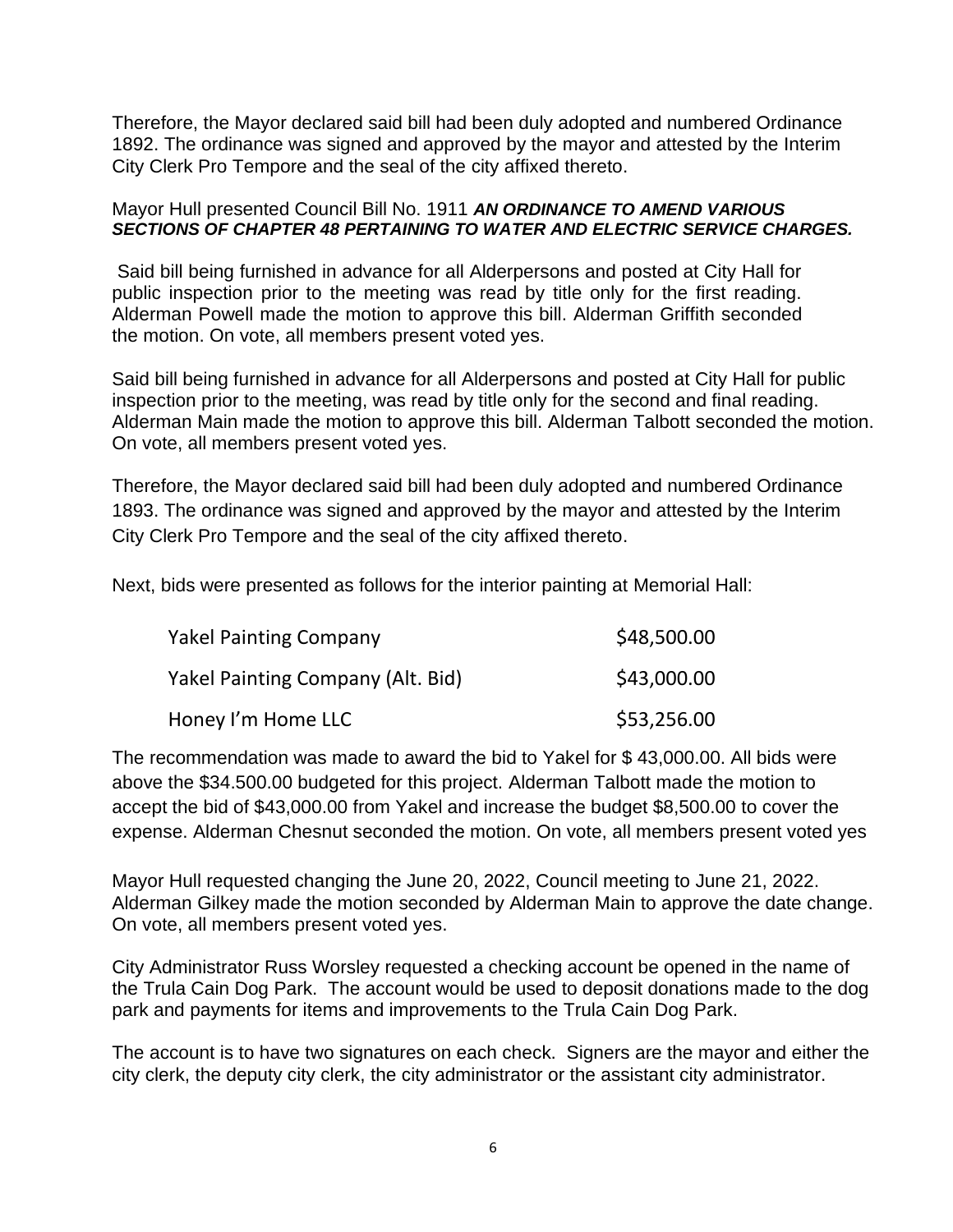Therefore, the Mayor declared said bill had been duly adopted and numbered Ordinance 1892. The ordinance was signed and approved by the mayor and attested by the Interim City Clerk Pro Tempore and the seal of the city affixed thereto.

## Mayor Hull presented Council Bill No. 1911 *AN ORDINANCE TO AMEND VARIOUS SECTIONS OF CHAPTER 48 PERTAINING TO WATER AND ELECTRIC SERVICE CHARGES.*

Said bill being furnished in advance for all Alderpersons and posted at City Hall for public inspection prior to the meeting was read by title only for the first reading. Alderman Powell made the motion to approve this bill. Alderman Griffith seconded the motion. On vote, all members present voted yes.

Said bill being furnished in advance for all Alderpersons and posted at City Hall for public inspection prior to the meeting, was read by title only for the second and final reading. Alderman Main made the motion to approve this bill. Alderman Talbott seconded the motion. On vote, all members present voted yes.

Therefore, the Mayor declared said bill had been duly adopted and numbered Ordinance 1893. The ordinance was signed and approved by the mayor and attested by the Interim City Clerk Pro Tempore and the seal of the city affixed thereto.

Next, bids were presented as follows for the interior painting at Memorial Hall:

| <b>Yakel Painting Company</b>     | \$48,500.00 |
|-----------------------------------|-------------|
| Yakel Painting Company (Alt. Bid) | \$43,000.00 |
| Honey I'm Home LLC                | \$53,256.00 |

The recommendation was made to award the bid to Yakel for \$ 43,000.00. All bids were above the \$34.500.00 budgeted for this project. Alderman Talbott made the motion to accept the bid of \$43,000.00 from Yakel and increase the budget \$8,500.00 to cover the expense. Alderman Chesnut seconded the motion. On vote, all members present voted yes

Mayor Hull requested changing the June 20, 2022, Council meeting to June 21, 2022. Alderman Gilkey made the motion seconded by Alderman Main to approve the date change. On vote, all members present voted yes.

City Administrator Russ Worsley requested a checking account be opened in the name of the Trula Cain Dog Park. The account would be used to deposit donations made to the dog park and payments for items and improvements to the Trula Cain Dog Park.

The account is to have two signatures on each check. Signers are the mayor and either the city clerk, the deputy city clerk, the city administrator or the assistant city administrator.